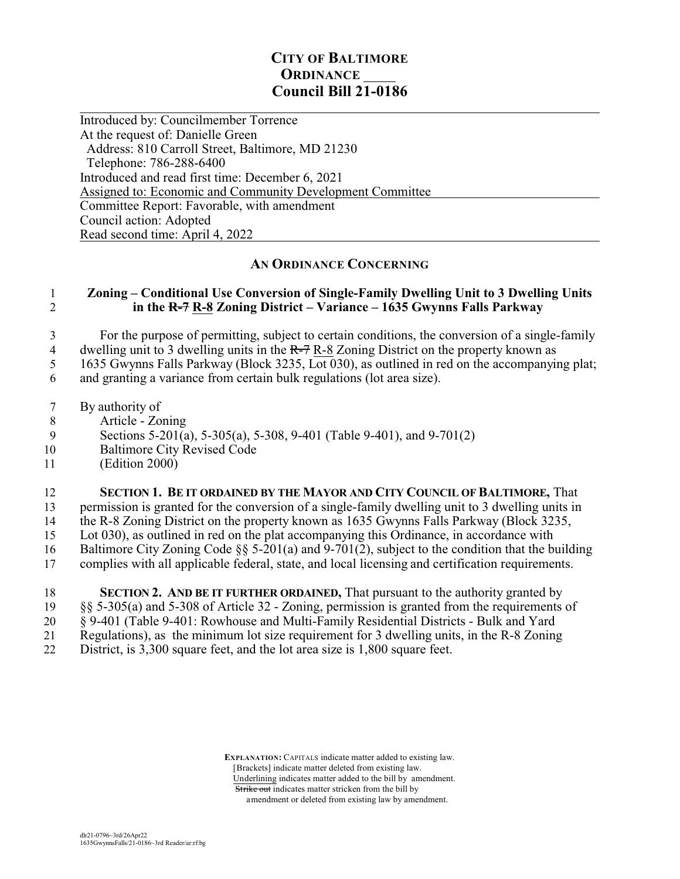## **CITY OF BALTIMORE ORDINANCE Council Bill 21-0186**

 $\overline{a}$ Introduced by: Councilmember Torrence At the request of: Danielle Green Address: 810 Carroll Street, Baltimore, MD 21230 Telephone: 786-288-6400 Introduced and read first time: December 6, 2021 Assigned to: Economic and Community Development Committee Committee Report: Favorable, with amendment Council action: Adopted Read second time: April 4, 2022

## **AN ORDINANCE CONCERNING**

## 1 **Zoning – Conditional Use Conversion of Single-Family Dwelling Unit to 3 Dwelling Units** 2 **in the R-7 R-8 Zoning District – Variance – 1635 Gwynns Falls Parkway**

3 For the purpose of permitting, subject to certain conditions, the conversion of a single-family 4 dwelling unit to 3 dwelling units in the  $R=7 R-8$  Zoning District on the property known as

5 1635 Gwynns Falls Parkway (Block 3235, Lot 030), as outlined in red on the accompanying plat;

6 and granting a variance from certain bulk regulations (lot area size).

- 7 By authority of
- 8 Article Zoning
- 9 Sections 5-201(a), 5-305(a), 5-308, 9-401 (Table 9-401), and 9-701(2)
- 10 Baltimore City Revised Code
- 11 (Edition 2000)

12 **SECTION 1. BE IT ORDAINED BY THE MAYOR AND CITY COUNCIL OF BALTIMORE,** That

13 permission is granted for the conversion of a single-family dwelling unit to 3 dwelling units in

14 the R-8 Zoning District on the property known as 1635 Gwynns Falls Parkway (Block 3235,

15 Lot 030), as outlined in red on the plat accompanying this Ordinance, in accordance with

- 16 Baltimore City Zoning Code  $\S$  5-201(a) and 9-701(2), subject to the condition that the building<br>17 complies with all applicable federal, state, and local licensing and certification requirements.
- 17 complies with all applicable federal, state, and local licensing and certification requirements.
- 18 **SECTION 2. AND BE IT FURTHER ORDAINED,** That pursuant to the authority granted by 19 §§ 5-305(a) and 5-308 of Article 32 - Zoning, permission is granted from the requirements of 20 § 9-401 (Table 9-401: Rowhouse and Multi-Family Residential Districts - Bulk and Yard 21 Regulations), as the minimum lot size requirement for 3 dwelling units, in the R-8 Zoning<br>22 District is 3 300 square feet and the lot area size is 1 800 square feet District, is 3,300 square feet, and the lot area size is 1,800 square feet.

 **EXPLANATION:** CAPITALS indicate matter added to existing law. [Brackets] indicate matter deleted from existing law. Underlining indicates matter added to the bill by amendment. Strike out indicates matter stricken from the bill by amendment or deleted from existing law by amendment.